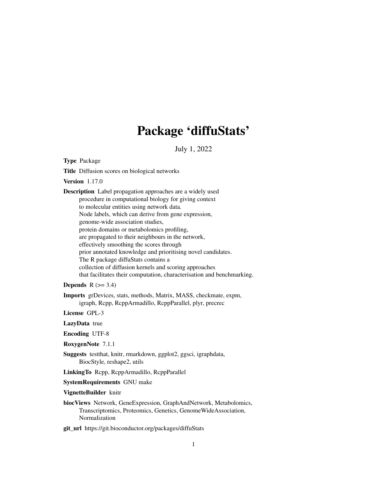## Package 'diffuStats'

July 1, 2022

<span id="page-0-0"></span>Type Package

Title Diffusion scores on biological networks

Version 1.17.0

Description Label propagation approaches are a widely used procedure in computational biology for giving context to molecular entities using network data. Node labels, which can derive from gene expression, genome-wide association studies, protein domains or metabolomics profiling, are propagated to their neighbours in the network, effectively smoothing the scores through prior annotated knowledge and prioritising novel candidates. The R package diffuStats contains a collection of diffusion kernels and scoring approaches that facilitates their computation, characterisation and benchmarking.

## Depends  $R$  ( $>= 3.4$ )

Imports grDevices, stats, methods, Matrix, MASS, checkmate, expm, igraph, Rcpp, RcppArmadillo, RcppParallel, plyr, precrec

License GPL-3

LazyData true

Encoding UTF-8

RoxygenNote 7.1.1

Suggests testthat, knitr, rmarkdown, ggplot2, ggsci, igraphdata, BiocStyle, reshape2, utils

LinkingTo Rcpp, RcppArmadillo, RcppParallel

SystemRequirements GNU make

VignetteBuilder knitr

biocViews Network, GeneExpression, GraphAndNetwork, Metabolomics, Transcriptomics, Proteomics, Genetics, GenomeWideAssociation, Normalization

git\_url https://git.bioconductor.org/packages/diffuStats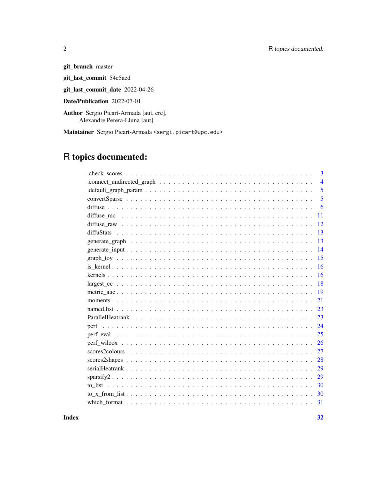## 2 R topics documented:

git\_branch master

git\_last\_commit 54e5aed

git\_last\_commit\_date 2022-04-26

Date/Publication 2022-07-01

Author Sergio Picart-Armada [aut, cre], Alexandre Perera-Lluna [aut]

Maintainer Sergio Picart-Armada <sergi.picart@upc.edu>

## R topics documented:

**Index** [32](#page-31-0)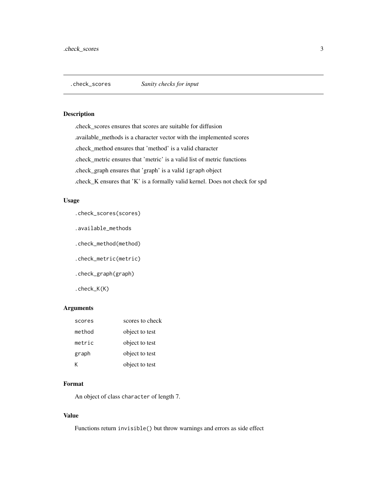<span id="page-2-0"></span>

.check\_scores ensures that scores are suitable for diffusion .available\_methods is a character vector with the implemented scores .check\_method ensures that 'method' is a valid character .check\_metric ensures that 'metric' is a valid list of metric functions .check\_graph ensures that 'graph' is a valid igraph object .check\_K ensures that 'K' is a formally valid kernel. Does not check for spd

### Usage

.check\_scores(scores)

- .available\_methods
- .check\_method(method)

.check\_metric(metric)

.check\_graph(graph)

.check\_K(K)

## Arguments

| scores | scores to check |
|--------|-----------------|
| method | object to test  |
| metric | object to test  |
| graph  | object to test  |
| ĸ      | object to test  |

#### Format

An object of class character of length 7.

#### Value

Functions return invisible() but throw warnings and errors as side effect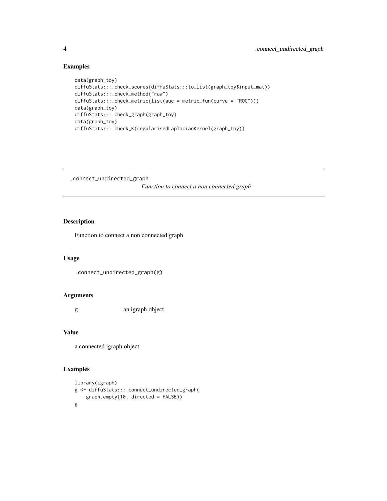## Examples

```
data(graph_toy)
diffuStats:::.check_scores(diffuStats:::to_list(graph_toy$input_mat))
diffuStats:::.check_method("raw")
diffuStats:::.check_metric(list(auc = metric_fun(curve = "ROC")))
data(graph_toy)
diffuStats:::.check_graph(graph_toy)
data(graph_toy)
diffuStats:::.check_K(regularisedLaplacianKernel(graph_toy))
```
.connect\_undirected\_graph *Function to connect a non connected graph*

## Description

Function to connect a non connected graph

#### Usage

.connect\_undirected\_graph(g)

## Arguments

g an igraph object

### Value

a connected igraph object

```
library(igraph)
g <- diffuStats:::.connect_undirected_graph(
    graph.empty(10, directed = FALSE))
g
```
<span id="page-3-0"></span>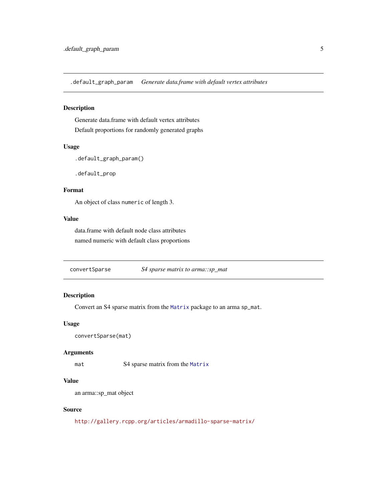<span id="page-4-0"></span>.default\_graph\_param *Generate data.frame with default vertex attributes*

## Description

Generate data.frame with default vertex attributes Default proportions for randomly generated graphs

## Usage

```
.default_graph_param()
```
.default\_prop

#### Format

An object of class numeric of length 3.

## Value

data.frame with default node class attributes named numeric with default class proportions

convertSparse *S4 sparse matrix to arma::sp\_mat*

## Description

Convert an S4 sparse matrix from the [Matrix](#page-0-0) package to an arma sp\_mat.

#### Usage

convertSparse(mat)

## Arguments

mat S4 sparse matrix from the [Matrix](#page-0-0)

## Value

an arma::sp\_mat object

#### Source

<http://gallery.rcpp.org/articles/armadillo-sparse-matrix/>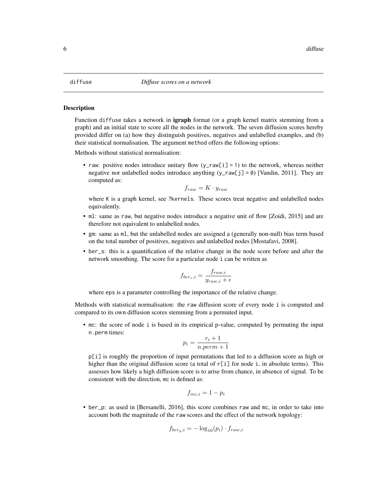<span id="page-5-1"></span><span id="page-5-0"></span>Function diffuse takes a network in **igraph** format (or a graph kernel matrix stemming from a graph) and an initial state to score all the nodes in the network. The seven diffusion scores hereby provided differ on (a) how they distinguish positives, negatives and unlabelled examples, and (b) their statistical normalisation. The argument method offers the following options:

Methods without statistical normalisation:

• raw: positive nodes introduce unitary flow  $(y_{\text{raw}[i]} = 1)$  to the network, whereas neither negative nor unlabelled nodes introduce anything  $(y_{\text{row}}[j] = 0)$  [Vandin, 2011]. They are computed as:

$$
f_{raw} = K \cdot y_{raw}
$$

where K is a graph kernel, see ?kernels. These scores treat negative and unlabelled nodes equivalently.

- ml: same as raw, but negative nodes introduce a negative unit of flow [Zoidi, 2015] and are therefore not equivalent to unlabelled nodes.
- gm: same as ml, but the unlabelled nodes are assigned a (generally non-null) bias term based on the total number of positives, negatives and unlabelled nodes [Mostafavi, 2008].
- ber\_s: this is a quantification of the relative change in the node score before and after the network smoothing. The score for a particular node i can be written as

$$
f_{ber_s,i} = \frac{f_{raw,i}}{y_{raw,i} + \epsilon}
$$

where eps is a parameter controlling the importance of the relative change.

Methods with statistical normalisation: the raw diffusion score of every node i is computed and compared to its own diffusion scores stemming from a permuted input.

• mc: the score of node i is based in its empirical p-value, computed by permuting the input n.perm times:

$$
p_i = \frac{r_i + 1}{n.perm + 1}
$$

p[i] is roughly the proportion of input permutations that led to a diffusion score as high or higher than the original diffusion score (a total of  $r[i]$  for node i, in absolute terms). This assesses how likely a high diffusion score is to arise from chance, in absence of signal. To be consistent with the direction, mc is defined as:

$$
f_{mc,i} = 1 - p_i
$$

• ber\_p: as used in [Bersanelli, 2016], this score combines raw and mc, in order to take into account both the magnitude of the raw scores and the effect of the network topology:

$$
f_{ber_p,i} = -\log_{10}(p_i) \cdot f_{raw,i}
$$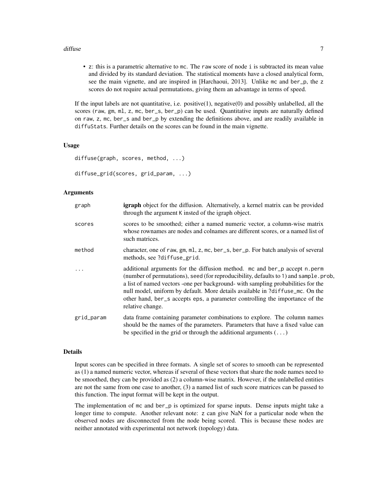#### diffuse **7**

• z: this is a parametric alternative to mc. The raw score of node i is subtracted its mean value and divided by its standard deviation. The statistical moments have a closed analytical form, see the main vignette, and are inspired in [Harchaoui, 2013]. Unlike mc and ber\_p, the z scores do not require actual permutations, giving them an advantage in terms of speed.

If the input labels are not quantitative, i.e.  $positive(1)$ , negative(0) and possibly unlabelled, all the scores (raw, gm, ml, z, mc, ber\_s, ber\_p) can be used. Quantitative inputs are naturally defined on raw, z, mc, ber\_s and ber\_p by extending the definitions above, and are readily available in diffuStats. Further details on the scores can be found in the main vignette.

## Usage

```
diffuse(graph, scores, method, ...)
diffuse_grid(scores, grid_param, ...)
```
#### **Arguments**

| graph      | <b>igraph</b> object for the diffusion. Alternatively, a kernel matrix can be provided<br>through the argument K insted of the igraph object.                                                                                                                                                                                                                                                                                               |
|------------|---------------------------------------------------------------------------------------------------------------------------------------------------------------------------------------------------------------------------------------------------------------------------------------------------------------------------------------------------------------------------------------------------------------------------------------------|
| scores     | scores to be smoothed; either a named numeric vector, a column-wise matrix<br>whose rownames are nodes and colnames are different scores, or a named list of<br>such matrices.                                                                                                                                                                                                                                                              |
| method     | character, one of raw, gm, m1, z, mc, ber_s, ber_p. For batch analysis of several<br>methods, see ?diffuse_grid.                                                                                                                                                                                                                                                                                                                            |
|            | additional arguments for the diffusion method. mc and ber p accept n.perm<br>(number of permutations), seed (for reproducibility, defaults to 1) and sample. prob,<br>a list of named vectors -one per background- with sampling probabilities for the<br>null model, uniform by default. More details available in ?diffuse_mc. On the<br>other hand, ber_s accepts eps, a parameter controlling the importance of the<br>relative change. |
| grid_param | data frame containing parameter combinations to explore. The column names<br>should be the names of the parameters. Parameters that have a fixed value can<br>be specified in the grid or through the additional arguments $(\ldots)$                                                                                                                                                                                                       |

## Details

Input scores can be specified in three formats. A single set of scores to smooth can be represented as (1) a named numeric vector, whereas if several of these vectors that share the node names need to be smoothed, they can be provided as (2) a column-wise matrix. However, if the unlabelled entities are not the same from one case to another, (3) a named list of such score matrices can be passed to this function. The input format will be kept in the output.

The implementation of mc and ber\_p is optimized for sparse inputs. Dense inputs might take a longer time to compute. Another relevant note: z can give NaN for a particular node when the observed nodes are disconnected from the node being scored. This is because these nodes are neither annotated with experimental not network (topology) data.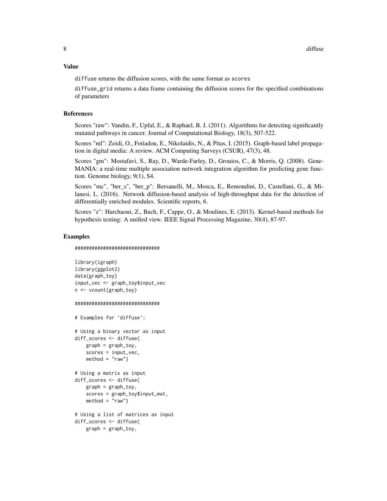#### Value

diffuse returns the diffusion scores, with the same format as scores

diffuse\_grid returns a data frame containing the diffusion scores for the specified combinations of parameters

#### References

Scores "raw": Vandin, F., Upfal, E., & Raphael, B. J. (2011). Algorithms for detecting significantly mutated pathways in cancer. Journal of Computational Biology, 18(3), 507-522.

Scores "ml": Zoidi, O., Fotiadou, E., Nikolaidis, N., & Pitas, I. (2015). Graph-based label propagation in digital media: A review. ACM Computing Surveys (CSUR), 47(3), 48.

Scores "gm": Mostafavi, S., Ray, D., Warde-Farley, D., Grouios, C., & Morris, Q. (2008). Gene-MANIA: a real-time multiple association network integration algorithm for predicting gene function. Genome biology, 9(1), S4.

Scores "mc", "ber\_s", "ber\_p": Bersanelli, M., Mosca, E., Remondini, D., Castellani, G., & Milanesi, L. (2016). Network diffusion-based analysis of high-throughput data for the detection of differentially enriched modules. Scientific reports, 6.

Scores "z": Harchaoui, Z., Bach, F., Cappe, O., & Moulines, E. (2013). Kernel-based methods for hypothesis testing: A unified view. IEEE Signal Processing Magazine, 30(4), 87-97.

```
##############################
```

```
library(igraph)
library(ggplot2)
data(graph_toy)
input_vec <- graph_toy$input_vec
n <- vcount(graph_toy)
```

```
##############################
```

```
# Examples for 'diffuse':
# Using a binary vector as input
diff_scores <- diffuse(
   graph = graph\_toy,
   scores = input_vec,
   method = "raw")# Using a matrix as input
diff_scores <- diffuse(
   graph = graph\_toy,scores = graph_toy$input_mat,
   method = "raw")# Using a list of matrices as input
diff_scores <- diffuse(
   graph = graph_toy,
```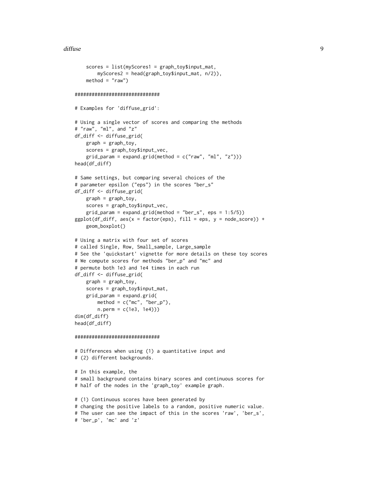#### diffuse 9

```
scores = list(myScores1 = graph_toy$input_mat,
       myScores2 = head(graph_toy$input_mat, n/2)),
    method = "raw")##############################
# Examples for 'diffuse_grid':
# Using a single vector of scores and comparing the methods
# "raw", "ml", and "z"
df_diff <- diffuse_grid(
    graph = graph_toy,
    scores = graph_toy$input_vec,
    grid\_param = expand.grid(method = c("raw", "ml", "z"))head(df_diff)
# Same settings, but comparing several choices of the
# parameter epsilon ("eps") in the scores "ber_s"
df_diff <- diffuse_grid(
    graph = graph_toy,
    scores = graph_toy$input_vec,
    grid\_param = expand.grid(method = "ber_s", ops = 1:5/5))ggplot(df_diff, aes(x = factor(eps), fill =eps, y = node_score) +
   geom_boxplot()
# Using a matrix with four set of scores
# called Single, Row, Small_sample, Large_sample
# See the 'quickstart' vignette for more details on these toy scores
# We compute scores for methods "ber_p" and "mc" and
# permute both 1e3 and 1e4 times in each run
df_diff <- diffuse_grid(
   graph = graph_toy,
    scores = graph_toy$input_mat,
    grid_param = expand.grid(
       method = c("mc", "ber_p"),n.perm = c(1e3, 1e4)))
dim(df_diff)
head(df_diff)
##############################
# Differences when using (1) a quantitative input and
# (2) different backgrounds.
# In this example, the
# small background contains binary scores and continuous scores for
# half of the nodes in the 'graph_toy' example graph.
# (1) Continuous scores have been generated by
# changing the positive labels to a random, positive numeric value.
# The user can see the impact of this in the scores 'raw', 'ber_s',
```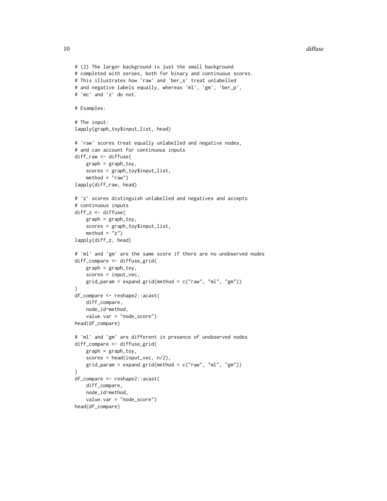```
# (2) The larger background is just the small background
# completed with zeroes, both for binary and continuous scores.
# This illustrates how 'raw' and 'ber_s' treat unlabelled
# and negative labels equally, whereas 'ml', 'gm', 'ber_p',
# 'mc' and 'z' do not.
# Examples:
# The input:
lapply(graph_toy$input_list, head)
# 'raw' scores treat equally unlabelled and negative nodes,
# and can account for continuous inputs
diff_raw <- diffuse(
   graph = graph_toy,
   scores = graph_toy$input_list,
   method = "raw")lapply(diff_raw, head)
# 'z' scores distinguish unlabelled and negatives and accepts
# continuous inputs
diff_z <- diffuse(
   graph = graph_toy,
   scores = graph_toy$input_list,
   method = "z")lapply(diff_z, head)
# 'ml' and 'gm' are the same score if there are no unobserved nodes
diff_compare <- diffuse_grid(
   graph = graph_toy,
    scores = input_vec,
   grid\_param = expand.grid(method = c("raw", "ml", "gm"))\lambdadf_compare <- reshape2::acast(
    diff_compare,
    node_id~method,
    value.var = "node_score")
head(df_compare)
# 'ml' and 'gm' are different in presence of unobserved nodes
diff_compare <- diffuse_grid(
    graph = graph_toy,
    scores = head(input_vec, n/2),
    grid_param = expand.grid(method = c("raw", "ml", "gm"))
\lambdadf_compare <- reshape2::acast(
    diff_compare,
    node_id~method,
    value.var = "node_score")
head(df_compare)
```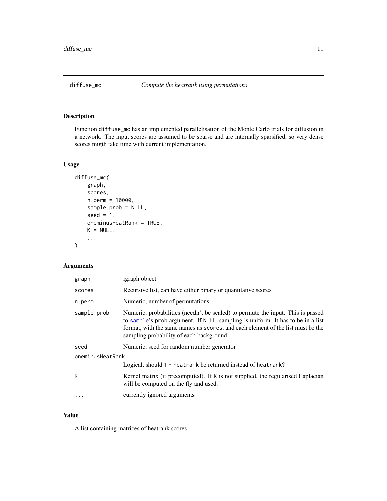<span id="page-10-0"></span>Function diffuse\_mc has an implemented parallelisation of the Monte Carlo trials for diffusion in a network. The input scores are assumed to be sparse and are internally sparsified, so very dense scores migth take time with current implementation.

#### Usage

```
diffuse_mc(
   graph,
    scores,
    n.perm = 10000,
    sample.prob = NULL,
    seed = 1,
    oneminusHeatRank = TRUE,
   K = NULL,...
)
```
#### Arguments

| graph            | igraph object                                                                                                                                                                                                                                                                                     |  |
|------------------|---------------------------------------------------------------------------------------------------------------------------------------------------------------------------------------------------------------------------------------------------------------------------------------------------|--|
| scores           | Recursive list, can have either binary or quantitative scores                                                                                                                                                                                                                                     |  |
| n.perm           | Numeric, number of permutations                                                                                                                                                                                                                                                                   |  |
| sample.prob      | Numeric, probabilities (needn't be scaled) to permute the input. This is passed<br>to sample's prob argument. If NULL, sampling is uniform. It has to be in a list<br>format, with the same names as scores, and each element of the list must be the<br>sampling probability of each background. |  |
| seed             | Numeric, seed for random number generator                                                                                                                                                                                                                                                         |  |
| oneminusHeatRank |                                                                                                                                                                                                                                                                                                   |  |
|                  | Logical, should 1 - heatrank be returned instead of heatrank?                                                                                                                                                                                                                                     |  |
| K                | Kernel matrix (if precomputed). If K is not supplied, the regularised Laplacian<br>will be computed on the fly and used.                                                                                                                                                                          |  |
| .                | currently ignored arguments                                                                                                                                                                                                                                                                       |  |
|                  |                                                                                                                                                                                                                                                                                                   |  |

#### Value

A list containing matrices of heatrank scores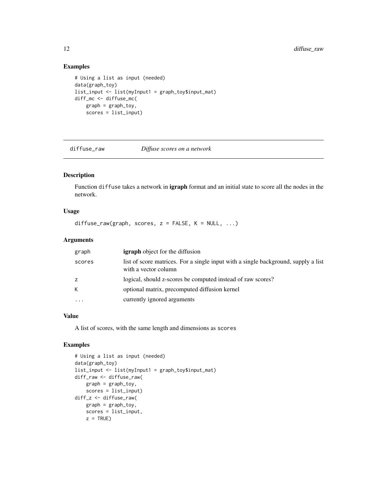## Examples

```
# Using a list as input (needed)
data(graph_toy)
list_input <- list(myInput1 = graph_toy$input_mat)
diff_mc <- diffuse_mc(
   graph = graph_toy,
   scores = list_input)
```
diffuse\_raw *Diffuse scores on a network*

#### Description

Function diffuse takes a network in **igraph** format and an initial state to score all the nodes in the network.

#### Usage

```
diffuse_raw(graph, scores, z = FALSE, K = NULL, ...)
```
## Arguments

| graph  | <b>igraph</b> object for the diffusion                                                                     |
|--------|------------------------------------------------------------------------------------------------------------|
| scores | list of score matrices. For a single input with a single background, supply a list<br>with a vector column |
| z      | logical, should z-scores be computed instead of raw scores?                                                |
| K      | optional matrix, precomputed diffusion kernel                                                              |
|        | currently ignored arguments                                                                                |

## Value

A list of scores, with the same length and dimensions as scores

```
# Using a list as input (needed)
data(graph_toy)
list_input <- list(myInput1 = graph_toy$input_mat)
diff_raw <- diffuse_raw(
    graph = graph_toy,
   scores = list_input)
diff_z <- diffuse_raw(
   graph = graph_toy,
   scores = list_input,
   z = TRUE
```
<span id="page-11-0"></span>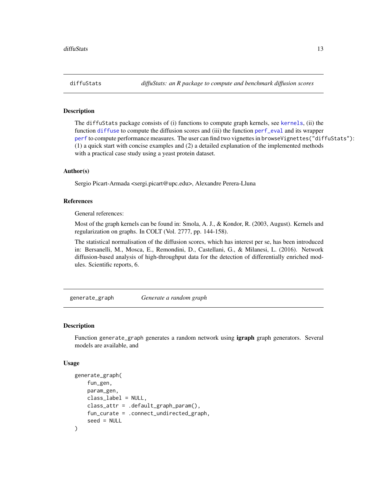<span id="page-12-0"></span>

The diffuStats package consists of (i) functions to compute graph kernels, see [kernels](#page-15-1), (ii) the function [diffuse](#page-5-1) to compute the diffusion scores and (iii) the function [perf\\_eval](#page-24-1) and its wrapper [perf](#page-23-1) to compute performance measures. The user can find two vignettes in browseVignettes("diffuStats"): (1) a quick start with concise examples and (2) a detailed explanation of the implemented methods with a practical case study using a yeast protein dataset.

#### Author(s)

Sergio Picart-Armada <sergi.picart@upc.edu>, Alexandre Perera-Lluna

#### References

General references:

Most of the graph kernels can be found in: Smola, A. J., & Kondor, R. (2003, August). Kernels and regularization on graphs. In COLT (Vol. 2777, pp. 144-158).

The statistical normalisation of the diffusion scores, which has interest per se, has been introduced in: Bersanelli, M., Mosca, E., Remondini, D., Castellani, G., & Milanesi, L. (2016). Network diffusion-based analysis of high-throughput data for the detection of differentially enriched modules. Scientific reports, 6.

generate\_graph *Generate a random graph*

#### Description

Function generate\_graph generates a random network using **igraph** graph generators. Several models are available, and

#### Usage

```
generate_graph(
    fun_gen,
    param_gen,
    class_label = NULL,
    class_attr = default\_graph\_param(),
    fun_curate = .connect_undirected_graph,
    seed = NULL
)
```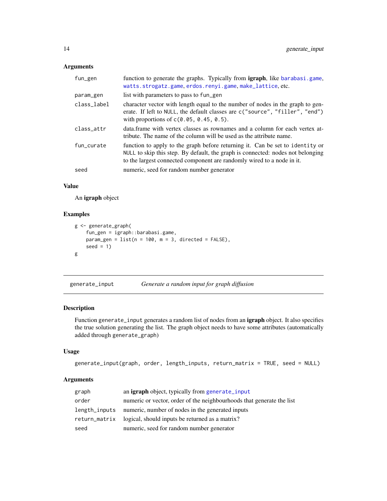## <span id="page-13-0"></span>Arguments

| fun_gen     | function to generate the graphs. Typically from <b>igraph</b> , like barabasi game,<br>watts.strogatz.game, erdos.renyi.game, make_lattice, etc.                                                                                           |
|-------------|--------------------------------------------------------------------------------------------------------------------------------------------------------------------------------------------------------------------------------------------|
| param_gen   | list with parameters to pass to fun_gen                                                                                                                                                                                                    |
| class_label | character vector with length equal to the number of nodes in the graph to gen-<br>erate. If left to NULL, the default classes are c("source", "filler", "end")<br>with proportions of $c(0.05, 0.45, 0.5)$ .                               |
| class_attr  | data frame with vertex classes as rownames and a column for each vertex at-<br>tribute. The name of the column will be used as the attribute name.                                                                                         |
| fun_curate  | function to apply to the graph before returning it. Can be set to identity or<br>NULL to skip this step. By default, the graph is connected: nodes not belonging<br>to the largest connected component are randomly wired to a node in it. |
| seed        | numeric, seed for random number generator                                                                                                                                                                                                  |

#### Value

An igraph object

## Examples

```
g <- generate_graph(
   fun_gen = igraph::barabasi.game,
   param_gen = list(n = 100, m = 3, directed = FALSE),
   seed = 1)
g
```
<span id="page-13-1"></span>

| generate_input |  | Generate a random input for graph diffusion |
|----------------|--|---------------------------------------------|
|----------------|--|---------------------------------------------|

## Description

Function generate\_input generates a random list of nodes from an igraph object. It also specifies the true solution generating the list. The graph object needs to have some attributes (automatically added through generate\_graph)

## Usage

```
generate_input(graph, order, length_inputs, return_matrix = TRUE, seed = NULL)
```
### Arguments

| graph         | an <b>igraph</b> object, typically from generate_input                |
|---------------|-----------------------------------------------------------------------|
| order         | numeric or vector, order of the neighbourhoods that generate the list |
| length_inputs | numeric, number of nodes in the generated inputs                      |
| return_matrix | logical, should inputs be returned as a matrix?                       |
| seed          | numeric, seed for random number generator                             |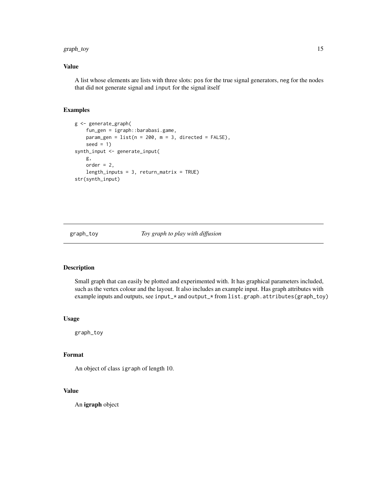#### <span id="page-14-0"></span>graph\_toy 15

## Value

A list whose elements are lists with three slots: pos for the true signal generators, neg for the nodes that did not generate signal and input for the signal itself

#### Examples

```
g <- generate_graph(
    fun_gen = igraph::barabasi.game,
   param\_gen = list(n = 200, m = 3, directed = FALSE),seed = 1)
synth_input <- generate_input(
   g,
   order = 2,
   length\_inputs = 3, return_matrix = TRUEstr(synth_input)
```
graph\_toy *Toy graph to play with diffusion*

## Description

Small graph that can easily be plotted and experimented with. It has graphical parameters included, such as the vertex colour and the layout. It also includes an example input. Has graph attributes with example inputs and outputs, see input\_\* and output\_\* from list.graph.attributes(graph\_toy)

#### Usage

graph\_toy

## Format

An object of class igraph of length 10.

#### Value

An igraph object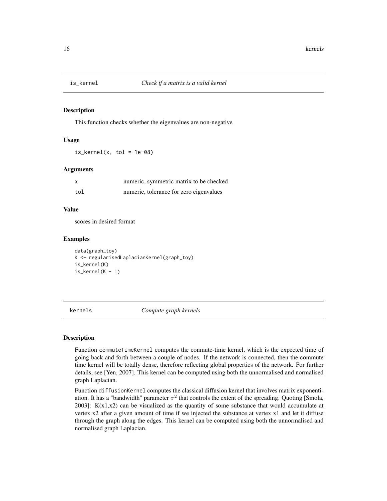<span id="page-15-0"></span>

This function checks whether the eigenvalues are non-negative

#### Usage

 $is_{\text{general}(x, tol = 1e-08)}$ 

#### Arguments

| $\boldsymbol{\mathsf{x}}$ | numeric, symmetric matrix to be checked |
|---------------------------|-----------------------------------------|
| tol                       | numeric, tolerance for zero eigenvalues |

#### Value

scores in desired format

#### Examples

```
data(graph_toy)
K <- regularisedLaplacianKernel(graph_toy)
is_kernel(K)
is\_kernel(K - 1)
```
<span id="page-15-1"></span>kernels *Compute graph kernels*

## **Description**

Function commuteTimeKernel computes the conmute-time kernel, which is the expected time of going back and forth between a couple of nodes. If the network is connected, then the commute time kernel will be totally dense, therefore reflecting global properties of the network. For further details, see [Yen, 2007]. This kernel can be computed using both the unnormalised and normalised graph Laplacian.

Function diffusionKernel computes the classical diffusion kernel that involves matrix exponentiation. It has a "bandwidth" parameter  $\sigma^2$  that controls the extent of the spreading. Quoting [Smola, 2003]:  $K(x1,x2)$  can be visualized as the quantity of some substance that would accumulate at vertex x2 after a given amount of time if we injected the substance at vertex x1 and let it diffuse through the graph along the edges. This kernel can be computed using both the unnormalised and normalised graph Laplacian.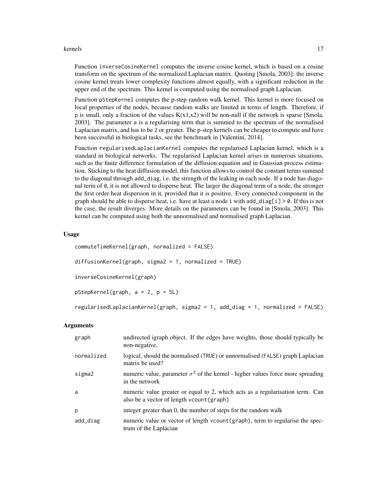#### kernels and the set of the set of the set of the set of the set of the set of the set of the set of the set of the set of the set of the set of the set of the set of the set of the set of the set of the set of the set of t

Function inverseCosineKernel computes the inverse cosine kernel, which is based on a cosine transform on the spectrum of the normalized Laplacian matrix. Quoting [Smola, 2003]: the inverse cosine kernel treats lower complexity functions almost equally, with a significant reduction in the upper end of the spectrum. This kernel is computed using the normalised graph Laplacian.

Function pStepKernel computes the p-step random walk kernel. This kernel is more focused on local properties of the nodes, because random walks are limited in terms of length. Therefore, if p is small, only a fraction of the values  $K(x1,x2)$  will be non-null if the network is sparse [Smola, 2003]. The parameter a is a regularising term that is summed to the spectrum of the normalised Laplacian matrix, and has to be 2 or greater. The p-step kernels can be cheaper to compute and have been successful in biological tasks, see the benchmark in [Valentini, 2014].

Function regularisedLaplacianKernel computes the regularised Laplacian kernel, which is a standard in biological networks. The regularised Laplacian kernel arises in numerous situations, such as the finite difference formulation of the diffusion equation and in Gaussian process estimation. Sticking to the heat diffusion model, this function allows to control the constant terms summed to the diagonal through add\_diag, i.e. the strength of the leaking in each node. If a node has diagonal term of 0, it is not allowed to disperse heat. The larger the diagonal term of a node, the stronger the first order heat dispersion in it, provided that it is positive. Every connected component in the graph should be able to disperse heat, i.e. have at least a node i with  $add\_diag[i] > 0$ . If this is not the case, the result diverges. More details on the parameters can be found in [Smola, 2003]. This kernel can be computed using both the unnormalised and normalised graph Laplacian.

#### Usage

```
commuteTimeKernel(graph, normalized = FALSE)
diffusionKernel(graph, sigma2 = 1, normalized = TRUE)inverseCosineKernel(graph)
pStepKernel(graph, a = 2, p = 5L)
regularisedLaplacianKernel(graph, sigma2 = 1, add_diag = 1, normalized = FALSE)
```
#### Arguments

| graph      | undirected igraph object. If the edges have weights, those should typically be<br>non-negative.                            |
|------------|----------------------------------------------------------------------------------------------------------------------------|
| normalized | logical, should the normalised (TRUE) or unnormalised (FALSE) graph Laplacian<br>matrix be used?                           |
| sigma2     | numeric value, parameter $\sigma^2$ of the kernel - higher values force more spreading<br>in the network                   |
| a          | numeric value greater or equal to 2, which acts as a regularisation term. Can<br>also be a vector of length vcount (graph) |
| p          | integer greater than 0, the number of steps for the random walk                                                            |
| add_diag   | numeric value or vector of length vcount (graph), term to regularise the spec-<br>trum of the Laplacian                    |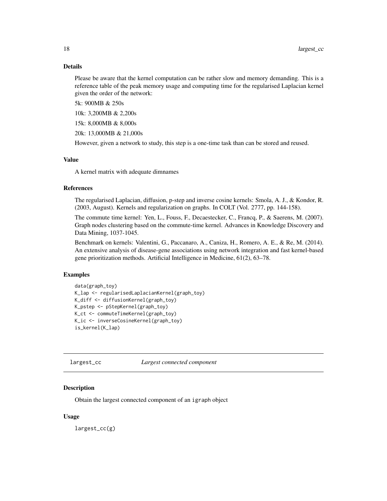### <span id="page-17-0"></span>Details

Please be aware that the kernel computation can be rather slow and memory demanding. This is a reference table of the peak memory usage and computing time for the regularised Laplacian kernel given the order of the network:

5k: 900MB & 250s

10k: 3,200MB & 2,200s

15k: 8,000MB & 8,000s 20k: 13,000MB & 21,000s

However, given a network to study, this step is a one-time task than can be stored and reused.

#### Value

A kernel matrix with adequate dimnames

#### References

The regularised Laplacian, diffusion, p-step and inverse cosine kernels: Smola, A. J., & Kondor, R. (2003, August). Kernels and regularization on graphs. In COLT (Vol. 2777, pp. 144-158).

The commute time kernel: Yen, L., Fouss, F., Decaestecker, C., Francq, P., & Saerens, M. (2007). Graph nodes clustering based on the commute-time kernel. Advances in Knowledge Discovery and Data Mining, 1037-1045.

Benchmark on kernels: Valentini, G., Paccanaro, A., Caniza, H., Romero, A. E., & Re, M. (2014). An extensive analysis of disease-gene associations using network integration and fast kernel-based gene prioritization methods. Artificial Intelligence in Medicine, 61(2), 63–78.

#### Examples

```
data(graph_toy)
K_lap <- regularisedLaplacianKernel(graph_toy)
K_diff <- diffusionKernel(graph_toy)
K_pstep <- pStepKernel(graph_toy)
K_ct <- commuteTimeKernel(graph_toy)
K_ic <- inverseCosineKernel(graph_toy)
is_kernel(K_lap)
```
largest\_cc *Largest connected component*

#### Description

Obtain the largest connected component of an igraph object

#### Usage

largest\_cc(g)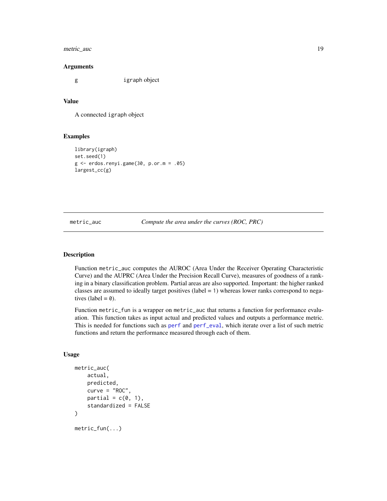## <span id="page-18-0"></span>metric\_auc 19

#### Arguments

g igraph object

## Value

A connected igraph object

## Examples

```
library(igraph)
set.seed(1)
g \leftarrow erdos.renyi.game(30, p.or.m = .05)
largest_cc(g)
```
<span id="page-18-1"></span>metric\_auc *Compute the area under the curves (ROC, PRC)*

### Description

Function metric\_auc computes the AUROC (Area Under the Receiver Operating Characteristic Curve) and the AUPRC (Area Under the Precision Recall Curve), measures of goodness of a ranking in a binary classification problem. Partial areas are also supported. Important: the higher ranked classes are assumed to ideally target positives (label  $= 1$ ) whereas lower ranks correspond to negatives (label =  $\theta$ ).

Function metric\_fun is a wrapper on metric\_auc that returns a function for performance evaluation. This function takes as input actual and predicted values and outputs a performance metric. This is needed for functions such as [perf](#page-23-1) and [perf\\_eval](#page-24-1), which iterate over a list of such metric functions and return the performance measured through each of them.

#### Usage

```
metric_auc(
    actual,
    predicted,
    curve = "ROC",partial = c(0, 1),
    standardized = FALSE
\lambdametric_fun(...)
```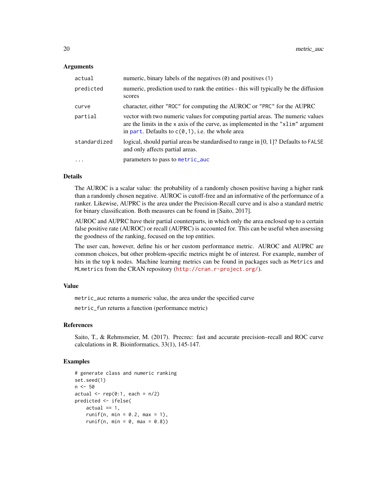#### <span id="page-19-0"></span>Arguments

| actual       | numeric, binary labels of the negatives (0) and positives (1)                                                                                                                                                                   |
|--------------|---------------------------------------------------------------------------------------------------------------------------------------------------------------------------------------------------------------------------------|
| predicted    | numeric, prediction used to rank the entities - this will typically be the diffusion<br>scores                                                                                                                                  |
| curve        | character, either "ROC" for computing the AUROC or "PRC" for the AUPRC                                                                                                                                                          |
| partial      | vector with two numeric values for computing partial areas. The numeric values<br>are the limits in the x axis of the curve, as implemented in the " $x\lim$ " argument<br>in part. Defaults to $c(0, 1)$ , i.e. the whole area |
| standardized | logical, should partial areas be standardised to range in $[0, 1]$ ? Defaults to FALSE<br>and only affects partial areas.                                                                                                       |
| $\ddots$ .   | parameters to pass to metric_auc                                                                                                                                                                                                |

#### Details

The AUROC is a scalar value: the probability of a randomly chosen positive having a higher rank than a randomly chosen negative. AUROC is cutoff-free and an informative of the performance of a ranker. Likewise, AUPRC is the area under the Precision-Recall curve and is also a standard metric for binary classification. Both measures can be found in [Saito, 2017].

AUROC and AUPRC have their partial counterparts, in which only the area enclosed up to a certain false positive rate (AUROC) or recall (AUPRC) is accounted for. This can be useful when assessing the goodness of the ranking, focused on the top entities.

The user can, however, define his or her custom performance metric. AUROC and AUPRC are common choices, but other problem-specific metrics might be of interest. For example, number of hits in the top k nodes. Machine learning metrics can be found in packages such as Metrics and MLmetrics from the CRAN repository (<http://cran.r-project.org/>).

### Value

metric\_auc returns a numeric value, the area under the specified curve

metric\_fun returns a function (performance metric)

#### References

Saito, T., & Rehmsmeier, M. (2017). Precrec: fast and accurate precision–recall and ROC curve calculations in R. Bioinformatics, 33(1), 145-147.

```
# generate class and numeric ranking
set.seed(1)
n < -50actual \leftarrow rep(0:1, each = n/2)predicted <- ifelse(
    actual == 1,
    runif(n, min = 0.2, max = 1),
    runif(n, min = 0, max = 0.8))
```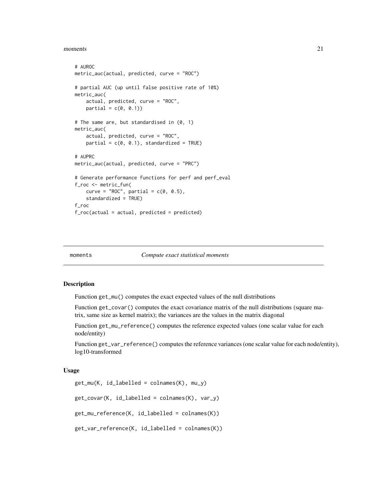#### <span id="page-20-0"></span>moments 21

```
# AUROC
metric_auc(actual, predicted, curve = "ROC")
# partial AUC (up until false positive rate of 10%)
metric_auc(
    actual, predicted, curve = "ROC",
    partial = c(0, 0.1)# The same are, but standardised in (0, 1)
metric_auc(
    actual, predicted, curve = "ROC",
    partial = c(0, 0.1), standardized = TRUE)
# AUPRC
metric_auc(actual, predicted, curve = "PRC")
# Generate performance functions for perf and perf_eval
f_roc <- metric_fun(
    curve = "ROC", partial = c(\emptyset, \emptyset.5),
    standardized = TRUE)
f_roc
f_{\text{rec}}(actual = actual, predicted = predicted)
```
moments *Compute exact statistical moments*

#### Description

Function get\_mu() computes the exact expected values of the null distributions

Function get\_covar() computes the exact covariance matrix of the null distributions (square matrix, same size as kernel matrix); the variances are the values in the matrix diagonal

Function get\_mu\_reference() computes the reference expected values (one scalar value for each node/entity)

Function get\_var\_reference() computes the reference variances (one scalar value for each node/entity), log10-transformed

#### Usage

get\_mu(K, id\_labelled = colnames(K), mu\_y)

get\_covar(K, id\_labelled = colnames(K), var\_y)

get\_mu\_reference(K, id\_labelled = colnames(K))

```
get_var_reference(K, id_labelled = colnames(K))
```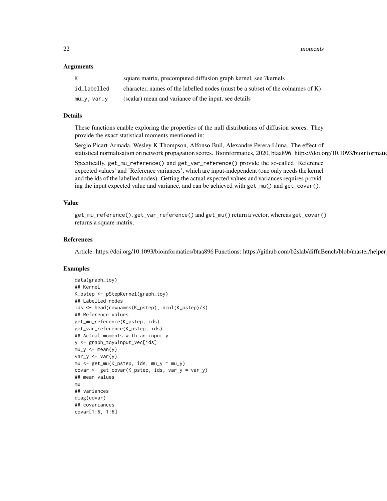22 moments

#### Arguments

|             | square matrix, precomputed diffusion graph kernel, see ?kernels                   |
|-------------|-----------------------------------------------------------------------------------|
| id labelled | character, names of the labelled nodes (must be a subset of the colnames of $K$ ) |
| mu_y,var_y  | (scalar) mean and variance of the input, see details                              |

#### Details

These functions enable exploring the properties of the null distributions of diffusion scores. They provide the exact statistical moments mentioned in:

Sergio Picart-Armada, Wesley K Thompson, Alfonso Buil, Alexandre Perera-Lluna. The effect of statistical normalisation on network propagation scores. Bioinformatics, 2020, btaa896. https://doi.org/10.1093/bioinformatic

Specifically, get\_mu\_reference() and get\_var\_reference() provide the so-called 'Reference expected values' and 'Reference variances', which are input-independent (one only needs the kernel and the ids of the labelled nodes). Getting the actual expected values and variances requires providing the input expected value and variance, and can be achieved with get\_mu() and get\_covar().

#### Value

get\_mu\_reference(), get\_var\_reference() and get\_mu() return a vector, whereas get\_covar() returns a square matrix.

## References

Article: https://doi.org/10.1093/bioinformatics/btaa896 Functions: https://github.com/b2slab/diffuBench/blob/master/helper

```
data(graph_toy)
## Kernel
K_pstep <- pStepKernel(graph_toy)
## Labelled nodes
ids <- head(rownames(K_pstep), ncol(K_pstep)/3)
## Reference values
get_mu_reference(K_pstep, ids)
get_var_reference(K_pstep, ids)
## Actual moments with an input y
y <- graph_toy$input_vec[ids]
mu_y \leftarrow mean(y)var_y \leftarrow var(y)mu <- get_mu(K_pstep, ids, mu_y = mu_y)
covar <- get_covar(K_pstep, ids, var_y = var_y)
## mean values
mu
## variances
diag(covar)
## covariances
covar[1:6, 1:6]
```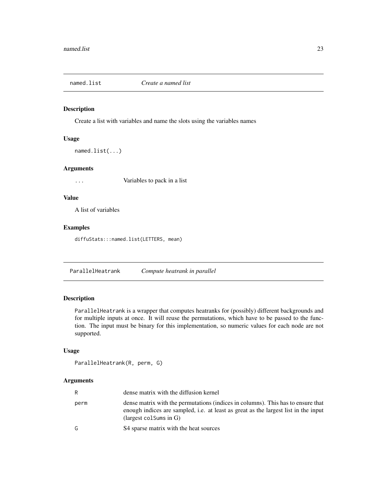<span id="page-22-0"></span>

Create a list with variables and name the slots using the variables names

## Usage

```
named.list(...)
```
#### Arguments

... Variables to pack in a list

#### Value

A list of variables

## Examples

diffuStats:::named.list(LETTERS, mean)

ParallelHeatrank *Compute heatrank in parallel*

## Description

ParallelHeatrank is a wrapper that computes heatranks for (possibly) different backgrounds and for multiple inputs at once. It will reuse the permutations, which have to be passed to the function. The input must be binary for this implementation, so numeric values for each node are not supported.

## Usage

```
ParallelHeatrank(R, perm, G)
```
#### Arguments

| R    | dense matrix with the diffusion kernel                                                                                                                                                                      |
|------|-------------------------------------------------------------------------------------------------------------------------------------------------------------------------------------------------------------|
| perm | dense matrix with the permutations (indices in columns). This has to ensure that<br>enough indices are sampled, i.e. at least as great as the largest list in the input<br>$\langle$ (largest colsums in G) |
| G    | S4 sparse matrix with the heat sources                                                                                                                                                                      |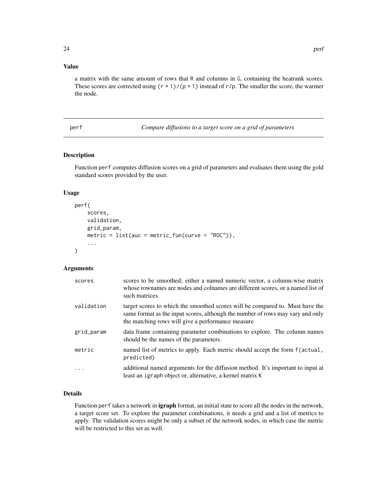## <span id="page-23-0"></span>Value

a matrix with the same amount of rows that R and columns in G, containing the heatrank scores. These scores are corrected using  $(r + 1)/(p + 1)$  instead of  $r/p$ . The smaller the score, the warmer the node.

<span id="page-23-1"></span>perf *Compare diffusions to a target score on a grid of parameters*

#### Description

Function perf computes diffusion scores on a grid of parameters and evaluates them using the gold standard scores provided by the user.

#### Usage

```
perf(
    scores,
    validation,
    grid_param,
    metric = list(auc = metric_fun(curve = "ROC")),
    ...
)
```
#### Arguments

| scores     | scores to be smoothed; either a named numeric vector, a column-wise matrix<br>whose rownames are nodes and colnames are different scores, or a named list of<br>such matrices.                                       |
|------------|----------------------------------------------------------------------------------------------------------------------------------------------------------------------------------------------------------------------|
| validation | target scores to which the smoothed scores will be compared to. Must have the<br>same format as the input scores, although the number of rows may vary and only<br>the matching rows will give a performance measure |
| grid_param | data frame containing parameter combinations to explore. The column names<br>should be the names of the parameters.                                                                                                  |
| metric     | named list of metrics to apply. Each metric should accept the form f(actual,<br>predicted)                                                                                                                           |
|            | additional named arguments for the diffusion method. It's important to input at<br>least an igraph object or, alternative, a kernel matrix K                                                                         |

## Details

Function perf takes a network in **igraph** format, an initial state to score all the nodes in the network, a target score set. To explore the parameter combinations, it needs a grid and a list of metrics to apply. The validation scores might be only a subset of the network nodes, in which case the metric will be restricted to this set as well.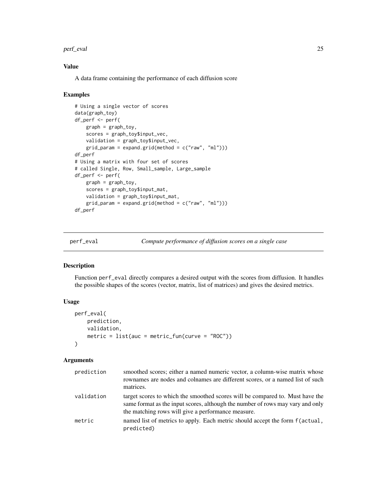#### <span id="page-24-0"></span>perf\_eval 25

## Value

A data frame containing the performance of each diffusion score

#### Examples

```
# Using a single vector of scores
data(graph_toy)
df_perf <- perf(
   graph = graph_toy,
   scores = graph_toy$input_vec,
   validation = graph_toy$input_vec,
   grid_param = expand.grid(method = c("raw", "ml")))
df_perf
# Using a matrix with four set of scores
# called Single, Row, Small_sample, Large_sample
df_perf <- perf(
   graph = graph_toy,
   scores = graph_toy$input_mat,
   validation = graph_toy$input_mat,
   grid\_param = expand.grid(method = c("raw", "ml")))df_perf
```
perf\_eval *Compute performance of diffusion scores on a single case*

#### Description

Function perf\_eval directly compares a desired output with the scores from diffusion. It handles the possible shapes of the scores (vector, matrix, list of matrices) and gives the desired metrics.

#### Usage

```
perf_eval(
   prediction,
    validation,
   metric = list(auc = metric_fun(curve = "ROC"))
)
```
#### **Arguments**

| prediction | smoothed scores; either a named numeric vector, a column-wise matrix whose<br>rownames are nodes and colnames are different scores, or a named list of such<br>matrices.                                              |
|------------|-----------------------------------------------------------------------------------------------------------------------------------------------------------------------------------------------------------------------|
| validation | target scores to which the smoothed scores will be compared to. Must have the<br>same format as the input scores, although the number of rows may vary and only<br>the matching rows will give a performance measure. |
| metric     | named list of metrics to apply. Each metric should accept the form f(actual,<br>predicted)                                                                                                                            |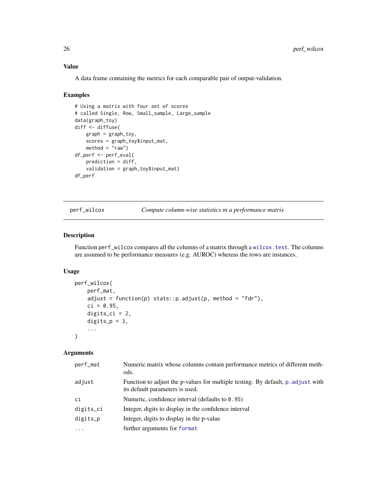## Value

A data frame containing the metrics for each comparable pair of output-validation.

#### Examples

```
# Using a matrix with four set of scores
# called Single, Row, Small_sample, Large_sample
data(graph_toy)
diff <- diffuse(
   graph = graph_toy,
   scores = graph_toy$input_mat,
   method = "raw")df_perf <- perf_eval(
   prediction = diff,
   validation = graph_toy$input_mat)
df_perf
```
perf\_wilcox *Compute column-wise statistics in a performance matrix*

#### Description

Function perf\_wilcox compares all the columns of a matrix through a [wilcox.test](#page-0-0). The columns are assumed to be performance measures (e.g. AUROC) whereas the rows are instances.

### Usage

```
perf_wilcox(
   perf_mat,
    adjust = function(p) states::p.addjust(p, method = "fdr"),ci = 0.95,digits_ci = 2,
   digits_p = 3,
    ...
)
```
#### Arguments

| perf_mat  | Numeric matrix whose columns contain performance metrics of different meth-<br>ods.                                 |
|-----------|---------------------------------------------------------------------------------------------------------------------|
| adjust    | Function to adjust the p-values for multiple testing. By default, p. adjust with<br>its default parameters is used. |
| ci        | Numeric, confidence interval (defaults to 0.95)                                                                     |
| digits_ci | Integer, digits to display in the confidence interval                                                               |
| digits_p  | Integer, digits to display in the p-value                                                                           |
| $\cdots$  | further arguments for format                                                                                        |

<span id="page-25-0"></span>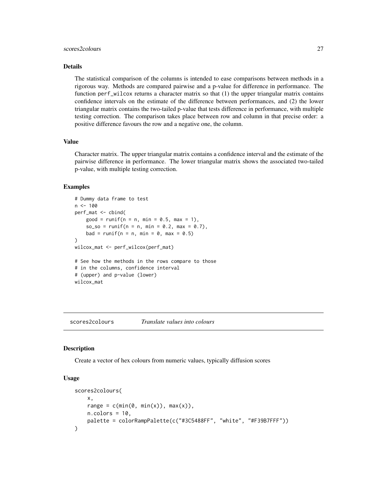#### <span id="page-26-0"></span>scores2colours 27

#### Details

The statistical comparison of the columns is intended to ease comparisons between methods in a rigorous way. Methods are compared pairwise and a p-value for difference in performance. The function perf\_wilcox returns a character matrix so that (1) the upper triangular matrix contains confidence intervals on the estimate of the difference between performances, and (2) the lower triangular matrix contains the two-tailed p-value that tests difference in performance, with multiple testing correction. The comparison takes place between row and column in that precise order: a positive difference favours the row and a negative one, the column.

#### Value

Character matrix. The upper triangular matrix contains a confidence interval and the estimate of the pairwise difference in performance. The lower triangular matrix shows the associated two-tailed p-value, with multiple testing correction.

#### Examples

```
# Dummy data frame to test
n < - 100perf_mat <- cbind(
   good = runif(n = n, min = 0.5, max = 1),so\_so = runif(n = n, min = 0.2, max = 0.7),
   bad = runif(n = n, min = 0, max = 0.5)
)
wilcox_mat <- perf_wilcox(perf_mat)
# See how the methods in the rows compare to those
# in the columns, confidence interval
# (upper) and p-value (lower)
wilcox_mat
```
scores2colours *Translate values into colours*

#### Description

Create a vector of hex colours from numeric values, typically diffusion scores

#### Usage

```
scores2colours(
    x,
    range = c(min(\emptyset, min(x)), max(x)),n. colors = 10,palette = colorRampPalette(c("#3C5488FF", "white", "#F39B7FFF"))
)
```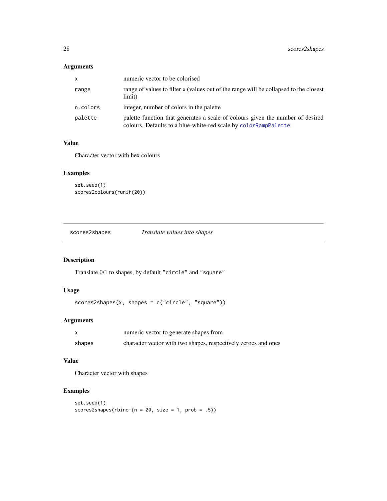## <span id="page-27-0"></span>Arguments

| X        | numeric vector to be colorised                                                                                                                    |
|----------|---------------------------------------------------------------------------------------------------------------------------------------------------|
| range    | range of values to filter x (values out of the range will be collapsed to the closest<br>limit)                                                   |
| n.colors | integer, number of colors in the palette                                                                                                          |
| palette  | palette function that generates a scale of colours given the number of desired<br>colours. Defaults to a blue-white-red scale by colorRampPalette |

## Value

Character vector with hex colours

## Examples

```
set.seed(1)
scores2colours(runif(20))
```
scores2shapes *Translate values into shapes*

## Description

Translate 0/1 to shapes, by default "circle" and "square"

## Usage

```
scores2shapes(x, shapes = c("circle", "square"))
```
## Arguments

|        | numeric vector to generate shapes from                         |
|--------|----------------------------------------------------------------|
| shapes | character vector with two shapes, respectively zeroes and ones |

## Value

Character vector with shapes

```
set.seed(1)
scores2shapes(rbinom(n = 20, size = 1, prob = .5))
```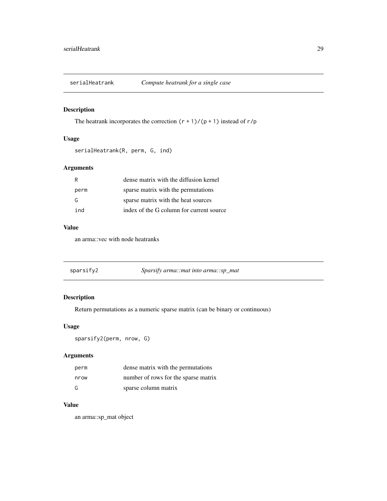<span id="page-28-0"></span>

The heatrank incorporates the correction  $(r + 1)/(p + 1)$  instead of  $r/p$ 

## Usage

serialHeatrank(R, perm, G, ind)

## Arguments

|      | dense matrix with the diffusion kernel   |
|------|------------------------------------------|
| perm | sparse matrix with the permutations      |
| G    | sparse matrix with the heat sources      |
| ind  | index of the G column for current source |

#### Value

an arma::vec with node heatranks

| <i>Sparsify arma::mat into arma::sp_mat</i><br>sparsify2 |  |
|----------------------------------------------------------|--|
|----------------------------------------------------------|--|

## Description

Return permutations as a numeric sparse matrix (can be binary or continuous)

## Usage

sparsify2(perm, nrow, G)

#### Arguments

| perm | dense matrix with the permutations   |
|------|--------------------------------------|
| nrow | number of rows for the sparse matrix |
| G    | sparse column matrix                 |

## Value

an arma::sp\_mat object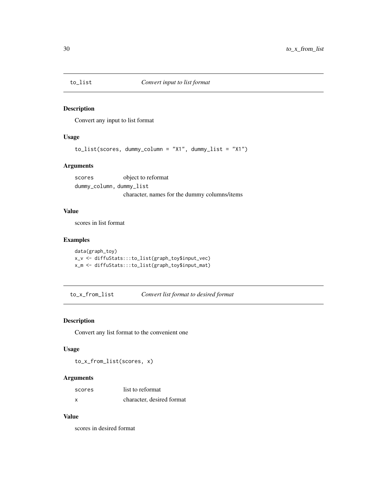<span id="page-29-0"></span>

Convert any input to list format

## Usage

```
to_list(scores, dummy_column = "X1", dummy_list = "X1")
```
## Arguments

scores object to reformat dummy\_column, dummy\_list character, names for the dummy columns/items

## Value

scores in list format

## Examples

data(graph\_toy) x\_v <- diffuStats:::to\_list(graph\_toy\$input\_vec) x\_m <- diffuStats:::to\_list(graph\_toy\$input\_mat)

to\_x\_from\_list *Convert list format to desired format*

## Description

Convert any list format to the convenient one

### Usage

to\_x\_from\_list(scores, x)

## Arguments

| scores | list to reformat          |
|--------|---------------------------|
| x      | character, desired format |

## Value

scores in desired format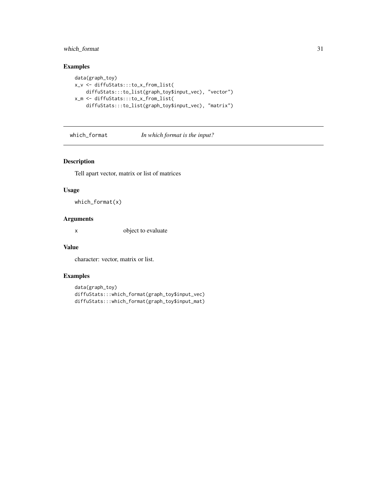## <span id="page-30-0"></span>which\_format 31

## Examples

```
data(graph_toy)
x_v <- diffuStats:::to_x_from_list(
   diffuStats:::to_list(graph_toy$input_vec), "vector")
x_m <- diffuStats:::to_x_from_list(
    diffuStats:::to_list(graph_toy$input_vec), "matrix")
```
which\_format *In which format is the input?*

#### Description

Tell apart vector, matrix or list of matrices

#### Usage

which\_format(x)

#### Arguments

x object to evaluate

## Value

character: vector, matrix or list.

```
data(graph_toy)
diffuStats:::which_format(graph_toy$input_vec)
diffuStats:::which_format(graph_toy$input_mat)
```